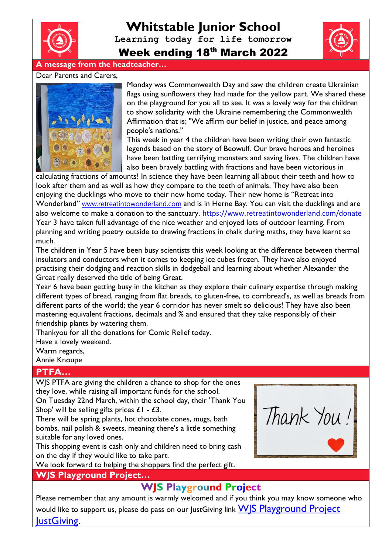

**Whitstable Junior School Learning today for life tomorrow** Week ending 18th March 2022



## **A message from the headteacher…**

#### Dear Parents and Carers,



Monday was Commonwealth Day and saw the children create Ukrainian flags using sunflowers they had made for the yellow part. We shared these on the playground for you all to see. It was a lovely way for the children to show solidarity with the Ukraine remembering the Commonwealth Affirmation that is; "We affirm our belief in justice, and peace among people's nations."

This week in year 4 the children have been writing their own fantastic legends based on the story of Beowulf. Our brave heroes and heroines have been battling terrifying monsters and saving lives. The children have also been bravely battling with fractions and have been victorious in

calculating fractions of amounts! In science they have been learning all about their teeth and how to look after them and as well as how they compare to the teeth of animals. They have also been enjoying the ducklings who move to their new home today. Their new home is "Retreat into Wonderland" [www.retreatintowonderland.com](http://www.retreatintowonderland.com/) and is in Herne Bay. You can visit the ducklings and are also welcome to make a donation to the sanctuary. <https://www.retreatintowonderland.com/donate> Year 3 have taken full advantage of the nice weather and enjoyed lots of outdoor learning. From planning and writing poetry outside to drawing fractions in chalk during maths, they have learnt so much.

The children in Year 5 have been busy scientists this week looking at the difference between thermal insulators and conductors when it comes to keeping ice cubes frozen. They have also enjoyed practising their dodging and reaction skills in dodgeball and learning about whether Alexander the Great really deserved the title of being Great.

Year 6 have been getting busy in the kitchen as they explore their culinary expertise through making different types of bread, ranging from flat breads, to gluten-free, to cornbread's, as well as breads from different parts of the world; the year 6 corridor has never smelt so delicious! They have also been mastering equivalent fractions, decimals and % and ensured that they take responsibly of their friendship plants by watering them.

Thankyou for all the donations for Comic Relief today.

Have a lovely weekend.

Warm regards,

Annie Knoupe

## **PTFA…**

WJS PTFA are giving the children a chance to shop for the ones they love, while raising all important funds for the school.

On Tuesday 22nd March, within the school day, their 'Thank You Shop' will be selling gifts prices  $£1 - £3$ .

There will be spring plants, hot chocolate cones, mugs, bath bombs, nail polish & sweets, meaning there's a little something suitable for any loved ones.

This shopping event is cash only and children need to bring cash on the day if they would like to take part.

We look forward to helping the shoppers find the perfect gift.

## **WJS Playground Project…**

## **WJS Playground Project**

Please remember that any amount is warmly welcomed and if you think you may know someone who would like to support us, please do pass on our JustGiving link **WJS Playground Project** lustGiving.

Thank You!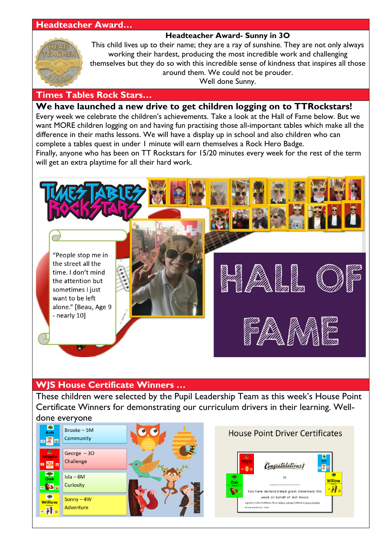## **Headteacher Award…**

## **Headteacher Award- Sunny in 3O**



This child lives up to their name; they are a ray of sunshine. They are not only always working their hardest, producing the most incredible work and challenging themselves but they do so with this incredible sense of kindness that inspires all those around them. We could not be prouder.

Well done Sunny.

#### **Times Tables Rock Stars…**

## **We have launched a new drive to get children logging on to TTRockstars!**

Every week we celebrate the children's achievements. Take a look at the Hall of Fame below. But we want MORE children logging on and having fun practising those all-important tables which make all the difference in their maths lessons. We will have a display up in school and also children who can complete a tables quest in under 1 minute will earn themselves a Rock Hero Badge.

Finally, anyone who has been on TT Rockstars for 15/20 minutes every week for the rest of the term will get an extra playtime for all their hard work.



## **WJS House Certificate Winners …**

These children were selected by the Pupil Leadership Team as this week's House Point Certificate Winners for demonstrating our curriculum drivers in their learning. Welldone everyone